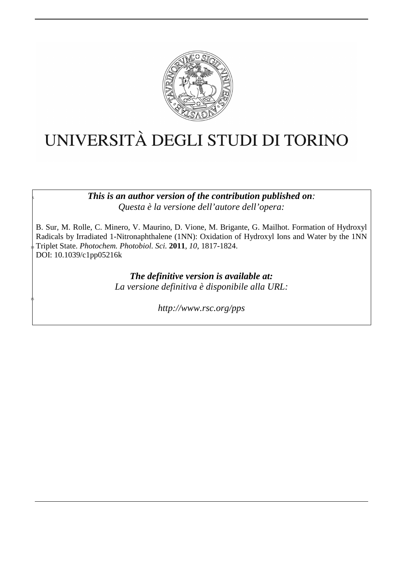

# UNIVERSITÀ DEGLI STUDI DI TORINO

<sup>5</sup>*This is an author version of the contribution published on: Questa è la versione dell'autore dell'opera:* 

B. Sur, M. Rolle, C. Minero, V. Maurino, D. Vione, M. Brigante, G. Mailhot. Formation of Hydroxyl Radicals by Irradiated 1-Nitronaphthalene (1NN): Oxidation of Hydroxyl Ions and Water by the 1NN <sup>10</sup>Triplet State. *Photochem. Photobiol. Sci.* **2011**, *10*, 1817-1824. DOI: 10.1039/c1pp05216k

> *The definitive version is available at: La versione definitiva è disponibile alla URL:*

> > *http://www.rsc.org/pps*

15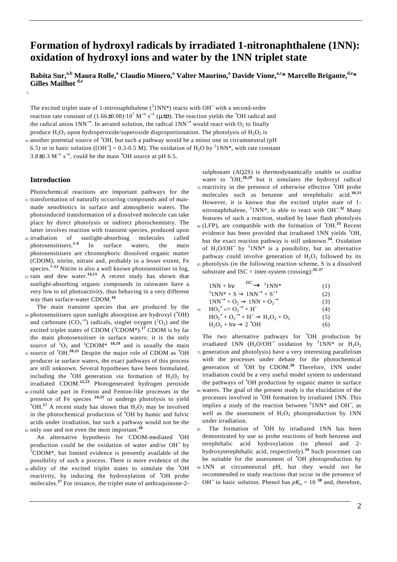# **Formation of hydroxyl radicals by irradiated 1-nitronaphthalene (1NN): oxidation of hydroxyl ions and water by the 1NN triplet state**

**Babita Sur,a,b Maura Rolle,<sup>a</sup> Claudio Minero,<sup>a</sup> Valter Maurino,<sup>a</sup> Davide Vione,a,c\* Marcello Brigante,d,e\* Gilles Mailhot d,e** 

The excited triplet state of 1-nitronaphthalene  $(^{3}1NN^*)$  reacts with OH<sup>-</sup> with a second-order reaction rate constant of  $(1.66\pm0.08)\cdot10^7$  M<sup>-1</sup> s<sup>-1</sup> (μ $\pm\sigma$ ). The reaction yields the <sup>•</sup>OH radical and the radical anion 1NN<sup>-•</sup>. In aerated solution, the radical  $1NN^{-}$  would react with O<sub>2</sub> to finally produce  $H_2O_2$  upon hydroperoxide/superoxide disproportionation. The photolysis of  $H_2O_2$  is

10 another potential source of "OH, but such a pathway would be a minor one in circumneutral (pH 6.5) or in basic solution ([OH<sup>-</sup>] = 0.3-0.5 M). The oxidation of H<sub>2</sub>O by <sup>3</sup>1NN<sup>\*</sup>, with rate constant  $3.8\pm0.3 \text{ M}^{-1} \text{ s}^{-1}$ , could be the main  $\text{O}^{\bullet}$  Source at pH 6.5.

# **Introduction**

5

Photochemical reactions are important pathways for the 15 transformation of naturally occurring compounds and of manmade xenobiotics in surface and atmospheric waters. The photoinduced transformation of a dissolved molecule can take place by direct photolysis or indirect photochemistry. The latter involves reaction with transient species, produced upon

- <sup>20</sup>irradiation of sunlight-absorbing molecules called photosensitisers.**1-6** In surface waters, the main photosensitisers are chromophoric dissolved organic matter (CDOM), nitrite, nitrate and, probably to a lesser extent, Fe species.**7-13** Nitrite is also a well known photosensitiser in fog,
- $25$  rain and dew water.<sup>14,15</sup> A recent study has shown that sunlight-absorbing organic compounds in rainwater have a very low to nil photoactivity, thus behaving in a very different way than surface-water CDOM.**<sup>16</sup>**
- The main transient species that are produced by the 30 photosensitisers upon sunlight absorption are hydroxyl ('OH) and carbonate  $(CO_3^{\bullet})$  radicals, singlet oxygen  $(^1O_2)$  and the excited triplet states of CDOM (<sup>3</sup>CDOM\*).<sup>17</sup> CDOM is by far the main photosensitiser in surface waters: it is the only source of  ${}^{1}O_{2}$  and  ${}^{3}CDOM*$  <sup>18,19</sup> and is usually the main 35 source of  $\text{{}^{\bullet}OH.}^{20,21}$  Despite the major role of CDOM as  $\text{{}^{\bullet}OH}$ producer in surface waters, the exact pathways of this process
- are still unknown. Several hypotheses have been formulated, including the  $\bullet$ OH generation *via* formation of  $H_2O_2$  by irradiated CDOM.**22,23** Photogenerated hydrogen peroxide <sup>40</sup>could take part in Fenton and Fenton-like processes in the
- presence of Fe species **24,25** or undergo photolysis to yield  $\bullet$  OH.<sup>17</sup> A recent study has shown that  $H_2O_2$  may be involved in the photochemical production of •OH by humic and fulvic acids under irradiation, but such a pathway would not be the <sup>45</sup> only one and not even the most important.<sup>26</sup>

 An alternative hypothesis for CDOM-mediated •OH production could be the oxidation of water and/or OH<sup>-</sup> by <sup>3</sup>CDOM<sup>\*</sup>, but limited evidence is presently available of the possibility of such a process. There is more evidence of the

50 ability of the excited triplet states to simulate the 'OH reactivity, by inducing the hydroxylation of •OH probe molecules.<sup>27</sup> For instance, the triplet state of anthraquinone-2-

sulphonate (AQ2S) is thermodynamically unable to oxidise water to  $\text{O}H$ ,<sup>28,29</sup> but it simulates the hydroxyl radical 55 reactivity in the presence of otherwise effective 'OH probe molecules such as benzene and terephthalic acid.**30,31** However, it is known that the excited triplet state of 1 nitronaphthalene, <sup>3</sup>1NN<sup>\*</sup>, is able to react with OH<sup>-22</sup> Many features of such a reaction, studied by laser flash photolysis 60 (LFP), are compatible with the formation of <sup>•</sup>OH.<sup>33</sup> Recent evidence has been provided that irradiated 1NN yields •OH, but the exact reaction pathway is still unknown.**<sup>34</sup>**. Oxidation of  $H_2O/OH^-$  by <sup>3</sup>1NN\* is a possibility, but an alternative pathway could involve generation of  $H_2O_2$  followed by its  $65$  photolysis (in the following reaction scheme, S is a dissolved substrate and ISC = inter-system crossing):**32-37** 

| $1NN + hy \xrightarrow{ISC} 31NN^*$                             | (1) |
|-----------------------------------------------------------------|-----|
| $31NN^* + S \rightarrow 1NN^{-\bullet} + S^{+\bullet}$          | (2) |
| $1NN^{-\bullet} + O_2 \rightarrow 1NN + O_2^{-\bullet}$         | (3) |
| $HO_2^{\bullet} \rightleftharpoons O_2^{\bullet} + H^+$         | (4) |
| $HO_2^{\bullet} + O_2^{\bullet} + H^+ \rightarrow H_2O_2 + O_2$ | (5) |
| $H_2O_2 + hv \rightarrow 2^{\bullet}OH$                         | (6) |
|                                                                 |     |

The two alternative pathways for **OH** production by irradiated 1NN (H<sub>2</sub>O/OH<sup>-</sup> oxidation by <sup>3</sup>1NN\* or H<sub>2</sub>O<sub>2</sub> <sup>75</sup>generation and photolysis) have a very interesting parallelism with the processes under debate for the photochemical generation of **OH** by CDOM.<sup>26</sup> Therefore, 1NN under irradiation could be a very useful model system to understand the pathways of •OH production by organic matter in surface <sup>80</sup>waters. The goal of the present study is the elucidation of the

- processes involved in •OH formation by irradiated 1NN. This implies a study of the reaction between  $31NN^*$  and OH<sup>-</sup>, as well as the assessment of  $H_2O_2$  photoproduction by 1NN under irradiation.
- 85 The formation of 'OH by irradiated 1NN has been demonstrated by use as probe reactions of both benzene and terephthalic acid hydroxylation (to phenol and 2 hydroxyterephthalic acid, respectively).**<sup>34</sup>** Such processes can be suitable for the assessment of •OH photoproduction by
- <sup>90</sup>1NN at circumneutral pH, but they would not be recommended to study reactions that occur in the presence of OH<sup> $-$ </sup> in basic solution. Phenol has  $pK_a = 10^{-38}$  and, therefore,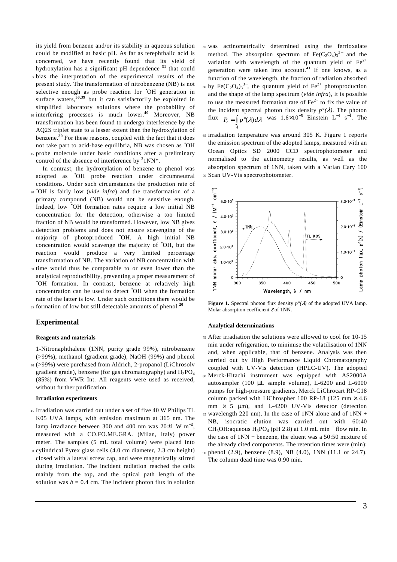its yield from benzene and/or its stability in aqueous solution could be modified at basic pH. As far as terephthalic acid is concerned, we have recently found that its yield of hydroxylation has a significant pH dependence **<sup>31</sup>** that could <sup>5</sup>bias the interpretation of the experimental results of the

- present study. The transformation of nitrobenzene (NB) is not selective enough as probe reaction for **OH** generation in surface waters, $30,39$  but it can satisfactorily be exploited in simplified laboratory solutions where the probability of
- 10 interfering processes is much lower.<sup>40</sup> Moreover, NB transformation has been found to undergo interference by the AQ2S triplet state to a lesser extent than the hydroxylation of benzene.**<sup>30</sup>** For these reasons, coupled with the fact that it does not take part to acid-base equilibria, NB was chosen as •OH 15 probe molecule under basic conditions after a preliminary
- control of the absence of interference by  $31NN^*$ .

 In contrast, the hydroxylation of benzene to phenol was adopted as •OH probe reaction under circumneutral conditions. Under such circumstances the production rate of

- <sup>20</sup> **CH** is fairly low (*vide infra*) and the transformation of a primary compound (NB) would not be sensitive enough. Indeed, low •OH formation rates require a low initial NB concentration for the detection, otherwise a too limited fraction of NB would be transformed. However, low NB gives
- <sup>25</sup>detection problems and does not ensure scavenging of the majority of photoproduced •OH. A high initial NB concentration would scavenge the majority of •OH, but the reaction would produce a very limited percentage transformation of NB. The variation of NB concentration with
- <sup>30</sup>time would thus be comparable to or even lower than the analytical reproducibility, preventing a proper measurement of •OH formation. In contrast, benzene at relatively high concentration can be used to detect •OH when the formation rate of the latter is low. Under such conditions there would be <sup>35</sup> formation of low but still detectable amounts of phenol.<sup>20</sup>

# **Experimental**

#### **Reagents and materials**

1-Nitronaphthalene (1NN, purity grade 99%), nitrobenzene (>99%), methanol (gradient grade), NaOH (99%) and phenol <sup>40</sup>(>99%) were purchased from Aldrich, 2-propanol (LiChrosolv

gradient grade), benzene (for gas chromatography) and  $H_3PO_4$ (85%) from VWR Int. All reagents were used as received, without further purification.

# **Irradiation experiments**

- <sup>45</sup>Irradiation was carried out under a set of five 40 W Philips TL K05 UVA lamps, with emission maximum at 365 nm. The lamp irradiance between 300 and 400 nm was  $20±1$  W m<sup>-2</sup>, measured with a CO.FO.ME.GRA. (Milan, Italy) power meter. The samples (5 mL total volume) were placed into
- <sup>50</sup>cylindrical Pyrex glass cells (4.0 cm diameter, 2.3 cm height) closed with a lateral screw cap, and were magnetically stirred during irradiation. The incident radiation reached the cells mainly from the top, and the optical path length of the solution was  $b = 0.4$  cm. The incident photon flux in solution
- <sup>55</sup>was actinometrically determined using the ferrioxalate method. The absorption spectrum of  $Fe(C_2O_4)_3^{3-}$  and the variation with wavelength of the quantum yield of  $\text{Fe}^{2+}$ generation were taken into account.**<sup>41</sup>** If one knows, as a function of the wavelength, the fraction of radiation absorbed <sup>60</sup> by Fe(C<sub>2</sub>O<sub>4</sub>)<sub>3</sub><sup>3−</sup>, the quantum yield of Fe<sup>2+</sup> photoproduction and the shape of the lamp spectrum (*vide infra*), it is possible to use the measured formation rate of  $\text{Fe}^{2+}$  to fix the value of the incident spectral photon flux density  $p^{\circ}(\lambda)$ . The photon flux  $P_o = \int p^\circ(\lambda) d\lambda$  was  $1.6 \times 10^{-5}$  Einstein L<sup>-1</sup> s<sup>-1</sup>. The
- <sup>65</sup>irradiation temperature was around 305 K. Figure 1 reports the emission spectrum of the adopted lamps, measured with an Ocean Optics SD 2000 CCD spectrophotometer and normalised to the actinometry results, as well as the absorption spectrum of 1NN, taken with a Varian Cary 100 <sup>70</sup>Scan UV-Vis spectrophotometer.



**Figure 1.** Spectral photon flux density  $p^{\circ}(\lambda)$  of the adopted UVA lamp. Molar absorption coefficient  $\varepsilon$  of 1NN.

## **Analytical determinations**

λ

<sup>75</sup>After irradiation the solutions were allowed to cool for 10-15 min under refrigeration, to minimise the volatilisation of 1NN and, when applicable, that of benzene. Analysis was then carried out by High Performance Liquid Chromatography coupled with UV-Vis detection (HPLC-UV). The adopted <sup>80</sup>Merck-Hitachi instrument was equipped with AS2000A autosampler (100 µL sample volume), L-6200 and L-6000 pumps for high-pressure gradients, Merck LiChrocart RP-C18 column packed with LiChrospher 100 RP-18 (125 mm  $\times$  4.6 mm  $\times$  5  $\mu$ m), and L-4200 UV-Vis detector (detection  $85$  wavelength 220 nm). In the case of 1NN alone and of 1NN + NB, isocratic elution was carried out with 60:40 CH<sub>3</sub>OH: aqueous  $H_3PO_4$  (pH 2.8) at 1.0 mL min<sup>-1</sup> flow rate. In the case of  $1NN + \text{benzene}$ , the eluent was a 50:50 mixture of the already cited components. The retention times were (min): <sup>90</sup>phenol (2.9), benzene (8.9), NB (4.0), 1NN (11.1 or 24.7). The column dead time was 0.90 min.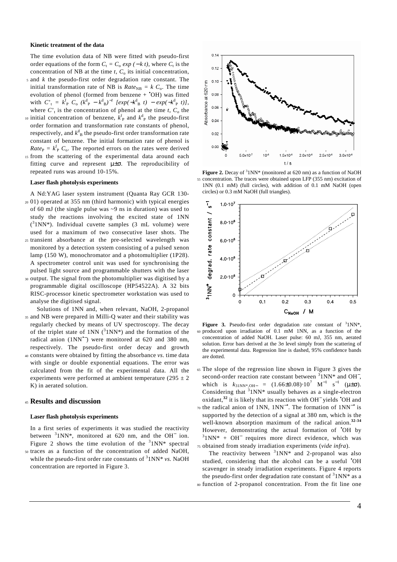#### **Kinetic treatment of the data**

The time evolution data of NB were fitted with pseudo-first order equations of the form  $C_t = C_0 \exp(-kt)$ , where  $C_t$  is the concentration of NB at the time  $t$ ,  $C_0$  its initial concentration,

- <sup>5</sup>and *k* the pseudo-first order degradation rate constant. The initial transformation rate of NB is  $Rate_{NB} = k C_0$ . The time evolution of phenol (formed from benzene +  $^{\bullet}$ OH) was fitted with  $C'_{t} = k_{P}^{f} C_{o} (k_{P}^{d} - k_{B}^{d})^{-1} [exp(-k_{B}^{d} t) - exp(-k_{P}^{d} t)],$ where  $C<sub>t</sub>$  is the concentration of phenol at the time *t*,  $C<sub>o</sub>$  the
- 10 initial concentration of benzene,  $k_{\rm P}^{\rm f}$  and  $k_{\rm P}^{\rm d}$  the pseudo-first order formation and transformation rate constants of phenol, respectively, and  $k_{B}^{d}$  the pseudo-first order transformation rate constant of benzene. The initial formation rate of phenol is  $Rate_{\rm P} = k_{\rm P}^{\rm f} C_{\rm o}$ . The reported errors on the rates were derived
- 15 from the scattering of the experimental data around each fitting curve and represent  $\mu \pm \sigma$ . The reproducibility of repeated runs was around 10-15%.

#### **Laser flash photolysis experiments**

A Nd:YAG laser system instrument (Quanta Ray GCR 130- <sup>20</sup>01) operated at 355 nm (third harmonic) with typical energies of 60 mJ (the single pulse was ~9 ns in duration) was used to study the reactions involving the excited state of 1NN  $(^{3}1NN^{*})$ . Individual cuvette samples (3 mL volume) were used for a maximum of two consecutive laser shots. The

- <sup>25</sup>transient absorbance at the pre-selected wavelength was monitored by a detection system consisting of a pulsed xenon lamp (150 W), monochromator and a photomultiplier (1P28). A spectrometer control unit was used for synchronising the pulsed light source and programmable shutters with the laser
- <sup>30</sup>output. The signal from the photomultiplier was digitised by a programmable digital oscilloscope (HP54522A). A 32 bits RISC-processor kinetic spectrometer workstation was used to analyse the digitised signal.
- Solutions of 1NN and, when relevant, NaOH, 2-propanol <sup>35</sup>and NB were prepared in Milli-Q water and their stability was regularly checked by means of UV spectroscopy. The decay of the triplet state of 1NN  $(^{3}1NN^{*})$  and the formation of the radical anion (1NN•−) were monitored at 620 and 380 nm, respectively. The pseudo-first order decay and growth <sup>40</sup>constants were obtained by fitting the absorbance *vs.* time data
- with single or double exponential equations. The error was calculated from the fit of the experimental data. All the experiments were performed at ambient temperature (295  $\pm$  2) K) in aerated solution.

# <sup>45</sup>**Results and discussion**

#### **Laser flash photolysis experiments**

In a first series of experiments it was studied the reactivity between  $31NN^*$ , monitored at 620 nm, and the OH<sup>-</sup> ion. Figure 2 shows the time evolution of the  $31NN^*$  spectral

<sup>50</sup>traces as a function of the concentration of added NaOH, while the pseudo-first order rate constants of <sup>3</sup>1NN\* *vs*. NaOH concentration are reported in Figure 3.



Figure 2. Decay of <sup>3</sup>1NN\* (monitored at 620 nm) as a function of NaOH <sup>55</sup>concentration. The traces were obtained upon LFP (355 nm) excitation of 1NN (0.1 mM) (full circles), with addition of 0.1 mM NaOH (open circles) or 0.3 mM NaOH (full triangles).



Figure 3. Pseudo-first order degradation rate constant of <sup>3</sup>1NN\*, <sup>60</sup>produced upon irradiation of 0.1 mM 1NN, as a function of the concentration of added NaOH. Laser pulse: 60 mJ, 355 nm, aerated solution. Error bars derived at the  $3\sigma$  level simply from the scattering of the experimental data. Regression line is dashed, 95% confidence bands are dotted.

<sup>65</sup>The slope of the regression line shown in Figure 3 gives the second-order reaction rate constant between  $31NN^*$  and OH<sup>-</sup>, which is  $k_{31NN^*,OH-} = (1.66 \pm 0.08) \cdot 10^7$  M<sup>-1</sup> s<sup>-1</sup> ( $\mu \pm \sigma$ ). Considering that  $31NN^*$  usually behaves as a single-electron oxidant,**<sup>32</sup>** it is likely that its reaction with OH<sup>−</sup> yields •OH and 70 the radical anion of 1NN, 1NN<sup>-•</sup>. The formation of 1NN<sup>-•</sup> is supported by the detection of a signal at 380 nm, which is the well-known absorption maximum of the radical anion.**32-34** However, demonstrating the actual formation of **OH** by <sup>3</sup>1NN<sup>\*</sup> + OH<sup>-</sup> requires more direct evidence, which was <sup>75</sup>obtained from steady irradiation experiments (*vide infra*).

The reactivity between  $31NN^*$  and 2-propanol was also studied, considering that the alcohol can be a useful "OH scavenger in steady irradiation experiments. Figure 4 reports the pseudo-first order degradation rate constant of  $31NN*$  as a 80 function of 2-propanol concentration. From the fit line one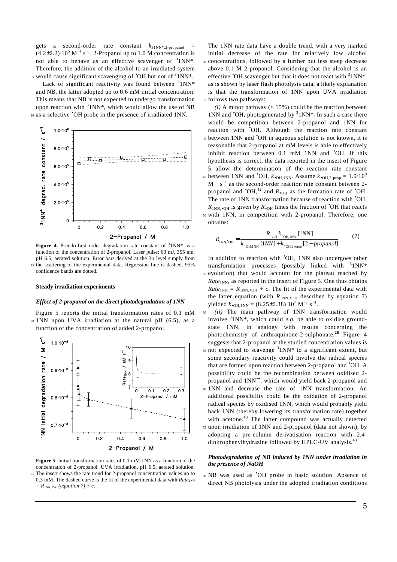gets a second-order rate constant  $k_{31NN^*2-propanol}$  =  $(4.2\pm2.2)\cdot10^5$  M<sup>-1</sup> s<sup>-1</sup>. 2-Propanol up to 1.0 M concentration is not able to behave as an effective scavenger of  $31NN^*$ . Therefore, the addition of the alcohol to an irradiated system s would cause significant scavenging of  $\textdegree$ OH but not of  $\textdegree{1NN*}$ .

Lack of significant reactivity was found between  $31NN*$ and NB, the latter adopted up to 0.6 mM initial concentration. This means that NB is not expected to undergo transformation upon reaction with  $31NN^*$ , which would allow the use of NB 10 as a selective 'OH probe in the presence of irradiated 1NN.



Figure 4. Pseudo-first order degradation rate constant of  $31NN^*$  as a function of the concentration of 2-propanol. Laser pulse: 60 mJ, 355 nm, pH 6.5, aerated solution. Error bars derived at the 3σ level simply from 15 the scattering of the experimental data. Regression line is dashed, 95% confidence bands are dotted.

#### **Steady irradiation experiments**

#### *Effect of 2-propanol on the direct photodegradation of 1NN*

Figure 5 reports the initial transformation rates of 0.1 mM <sup>20</sup>1NN upon UVA irradiation at the natural pH (6.5), as a function of the concentration of added 2-propanol.



**Figure 5.** Initial transformation rates of 0.1 mM 1NN as a function of the concentration of 2-propanol. UVA irradiation, pH 6.5, aerated solution. <sup>25</sup>The insert shows the rate trend for 2-propanol concentration values up to 0.3 mM. The dashed curve is the fit of the experimental data with  $Rate_{1NN}$  $= R_{INN, \bullet OH}$  (equation 7) + c.

The 1NN rate data have a double trend, with a very marked initial decrease of the rate for relatively low alcohol <sup>30</sup>concentrations, followed by a further but less steep decrease above 0.1 M 2-propanol. Considering that the alcohol is an effective  $\text{OH}$  scavenger but that it does not react with  $31NN^*$ , as is shown by laser flash photolysis data, a likely explanation is that the transformation of 1NN upon UVA irradiation 35 follows two pathways:

 $(i)$  A minor pathway ( $\lt$  15%) could be the reaction between 1NN and  $^{\circ}$ OH, photogenerated by  $^3$ 1NN\*. In such a case there would be competition between 2-propanol and 1NN for reaction with •OH. Although the reaction rate constant 40 between 1NN and <sup>\*</sup>OH in aqueous solution is not known, it is reasonable that 2-propanol at mM levels is able to effectively inhibit reaction between 0.1 mM 1NN and 'OH. If this hypothesis is correct, the data reported in the insert of Figure 5 allow the determination of the reaction rate constant 45 between 1NN and <sup>•</sup>OH,  $k_{\bullet}$ <sub>OH,1NN</sub>. Assume  $k_{\bullet}$ <sub>OH,2-prop</sub> = 1.9⋅10<sup>9</sup>  $M^{-1}$  s<sup>-1</sup> as the second-order reaction rate constant between 2propanol and  $\text{OH},^{42}$  and  $R_{\bullet}$  o<sub>H</sub> as the formation rate of  $\text{OH}.$ The rate of 1NN transformation because of reaction with <sup>\*</sup>OH,  $R_{1NN,•OH}$  is given by  $R_{•OH}$  times the fraction of <sup>\*</sup>OH that reacts <sup>50</sup>with 1NN, in competition with 2-propanol. Therefore, one obtains:

$$
R_{\text{1NN, 'OH}} = \frac{R_{\text{.OH}} k_{\text{.OH, 1NN}} [1NN]}{k_{\text{.OH, 1NN}} [1NN] + k_{\text{.OH, 2-prop}} [2 - propanol]} \tag{7}
$$

In addition to reaction with •OH, 1NN also undergoes other transformation processes (possibly linked with  $31NN*$ <sup>55</sup>evolution) that would account for the plateau reached by *Rate*<sub>1NN</sub>, as reported in the insert of Figure 5. One thus obtains  $Rate_{1NN} = R_{1NN, \bullet OH} + c$ . The fit of the experimental data with the latter equation (with  $R_{1NN, \bullet}$  o<sub>H</sub> described by equation 7) yielded  $k_{\bullet \text{OH},1NN} = (8.25 \pm 0.38) \cdot 10^7 \text{ M}^{-1} \text{ s}^{-1}.$ 

- <sup>60</sup>*(ii)* The main pathway of 1NN transformation would involve  $31NN^*$ , which could *e.g.* be able to oxidise groundstate 1NN, in analogy with results concerning the photochemistry of anthraquinone-2-sulphonate.**<sup>28</sup>** Figure 4 suggests that 2-propanol at the studied concentration values is  $65$  not expected to scavenge  $31NN*$  to a significant extent, but some secondary reactivity could involve the radical species that are formed upon reaction between 2-propanol and •OH. A possibility could be the recombination between oxidised 2 propanol and 1NN−•, which would yield back 2-propanol and
- <sup>70</sup>1NN and decrease the rate of 1NN transformation. An additional possibility could be the oxidation of 2-propanol radical species by oxidised 1NN, which would probably yield back 1NN (thereby lowering its transformation rate) together with acetone.**<sup>43</sup>** The latter compound was actually detected
- <sup>75</sup>upon irradiation of 1NN and 2-propanol (data not shown), by adopting a pre-column derivatisation reaction with 2,4 dinitrophenylhydrazine followed by HPLC-UV analysis. **43**

## *Photodegradation of NB induced by 1NN under irradiation in the presence of NaOH*

NB was used as • <sup>80</sup>OH probe in basic solution. Absence of direct NB photolysis under the adopted irradiation conditions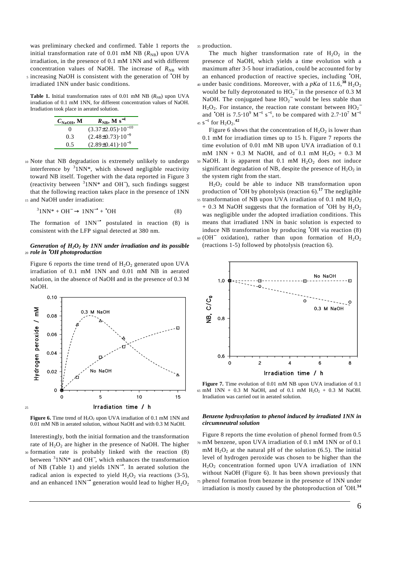was preliminary checked and confirmed. Table 1 reports the initial transformation rate of 0.01 mM NB  $(R_{NB})$  upon UVA irradiation, in the presence of 0.1 mM 1NN and with different concentration values of NaOH. The increase of  $R_{NB}$  with s increasing NaOH is consistent with the generation of 'OH by

irradiated 1NN under basic conditions.

**Table 1.** Initial transformation rates of 0.01 mM NB  $(R_{NP})$  upon UVA irradiation of 0.1 mM 1NN, for different concentration values of NaOH. Irradiation took place in aerated solution.

| $C_{\text{NaOH}}$ , M | $R_{\text{NB}}$ , M s <sup>-1</sup> |
|-----------------------|-------------------------------------|
| $\theta$              | $(3.37\pm2.05)\cdot10^{-10}$        |
| 0.3                   | $(2.48\pm0.73)\cdot10^{-9}$         |
| 0.5                   | $(2.89\pm0.41)\cdot10^{-9}$         |

<sup>10</sup>Note that NB degradation is extremely unlikely to undergo interference by  $31NN^*$ , which showed negligible reactivity toward NB itself. Together with the data reported in Figure 3 (reactivity between  $31NN*$  and OH<sup>-</sup>), such findings suggest that the following reaction takes place in the presence of 1NN 15 and NaOH under irradiation:

$$
{}^{3}1NN^* + OH^- \rightarrow 1NN^{-\bullet} + {}^{\bullet}OH
$$
 (8)

The formation of 1NN−• postulated in reaction (8) is consistent with the LFP signal detected at 380 nm.

#### *Generation of H2O<sup>2</sup> by 1NN under irradiation and its possible*  <sup>20</sup> role in <sup>•</sup>OH photoproduction

Figure 6 reports the time trend of  $H_2O_2$  generated upon UVA irradiation of 0.1 mM 1NN and 0.01 mM NB in aerated solution, in the absence of NaOH and in the presence of 0.3 M NaOH.



**Figure 6.** Time trend of  $H_2O_2$  upon UVA irradiation of 0.1 mM 1NN and 0.01 mM NB in aerated solution, without NaOH and with 0.3 M NaOH.

Interestingly, both the initial formation and the transformation rate of  $H_2O_2$  are higher in the presence of NaOH. The higher <sup>30</sup>formation rate is probably linked with the reaction (8) between <sup>3</sup>1NN\* and OH<sup>−</sup>, which enhances the transformation of NB (Table 1) and yields 1NN−•. In aerated solution the radical anion is expected to yield  $H_2O_2$  via reactions (3-5), and an enhanced  $1NN^{-\bullet}$  generation would lead to higher  $H_2O_2$ 

35 production.

The much higher transformation rate of  $H_2O_2$  in the presence of NaOH, which yields a time evolution with a maximum after 3-5 hour irradiation, could be accounted for by an enhanced production of reactive species, including •OH, 40 under basic conditions. Moreover, with a  $pKa$  of  $11.6$ ,<sup>38</sup> H<sub>2</sub>O<sub>2</sub> would be fully deprotonated to  $HO_2^-$  in the presence of 0.3 M NaOH. The conjugated base  $HO_2^-$  would be less stable than  $H_2O_2$ . For instance, the reaction rate constant between  $HO_2^$ and  $^{\bullet}$ OH is 7.5⋅10<sup>9</sup> M<sup>-1</sup> s<sup>-1</sup>, to be compared with 2.7⋅10<sup>7</sup> M<sup>-1</sup> 45  $s^{-1}$  for  $H_2O_2$ .<sup>42</sup>

Figure 6 shows that the concentration of  $H_2O_2$  is lower than 0.1 mM for irradiation times up to 15 h. Figure 7 reports the time evolution of 0.01 mM NB upon UVA irradiation of 0.1 mM  $1NN + 0.3$  M NaOH, and of 0.1 mM  $H_2O_2 + 0.3$  M  $50$  NaOH. It is apparent that 0.1 mM  $H<sub>2</sub>O<sub>2</sub>$  does not induce significant degradation of NB, despite the presence of  $H_2O_2$  in the system right from the start.

 $H<sub>2</sub>O<sub>2</sub>$  could be able to induce NB transformation upon production of •OH by photolysis (reaction 6).**<sup>17</sup>** The negligible  $_{55}$  transformation of NB upon UVA irradiation of 0.1 mM  $\rm H_{2}O_{2}$  $+ 0.3$  M NaOH suggests that the formation of  $\textdegree$ OH by  $\text{H}_2\text{O}_2$ was negligible under the adopted irradiation conditions. This means that irradiated 1NN in basic solution is expected to induce NB transformation by producing •OH via reaction (8) 60 (OH<sup>-</sup> oxidation), rather than upon formation of  $H_2O_2$ (reactions 1-5) followed by photolysis (reaction 6).



**Figure 7.** Time evolution of 0.01 mM NB upon UVA irradiation of 0.1 65 mM 1NN + 0.3 M NaOH, and of 0.1 mM  $H_2O_2 + 0.3$  M NaOH. Irradiation was carried out in aerated solution.

# *Benzene hydroxylation to phenol induced by irradiated 1NN in circumneutral solution*

Figure 8 reports the time evolution of phenol formed from 0.5 <sup>70</sup>mM benzene, upon UVA irradiation of 0.1 mM 1NN or of 0.1 mM  $H_2O_2$  at the natural pH of the solution (6.5). The initial level of hydrogen peroxide was chosen to be higher than the  $H_2O_2$  concentration formed upon UVA irradiation of 1NN without NaOH (Figure 6). It has been shown previously that 75 phenol formation from benzene in the presence of 1NN under irradiation is mostly caused by the photoproduction of •OH.**<sup>34</sup>**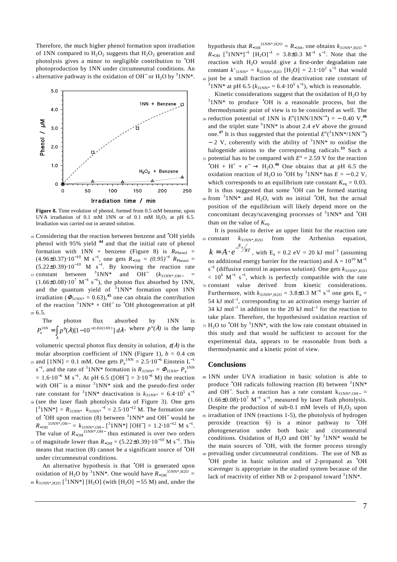Therefore, the much higher phenol formation upon irradiation of 1NN compared to  $H_2O_2$  suggests that  $H_2O_2$  generation and photolysis gives a minor to negligible contribution to •OH photoproduction by 1NN under circumneutral conditions. An s alternative pathway is the oxidation of OH<sup>-</sup> or  $H_2O$  by <sup>3</sup>1NN<sup>\*</sup>.



**Figure 8.** Time evolution of phenol, formed from 0.5 mM benzene, upon UVA irradiation of 0.1 mM 1NN or of 0.1 mM  $H_2O_2$  at pH 6.5. Irradiation was carried out in aerated solution.

10 Considering that the reaction between benzene and 'OH yields phenol with 95% yield **<sup>44</sup>** and that the initial rate of phenol formation with  $1NN + \text{benzene}$  (Figure 8) is  $R_{\text{Phenol}} =$  $(4.96\pm0.37)\cdot10^{-10}$  M s<sup>-1</sup>, one gets  $R_{\bullet}$ <sub>OH</sub> =  $(0.95)^{-1}$   $R_{\text{Phenol}}$  =  $(5.22\pm0.39) \cdot 10^{-10}$  M s<sup>-1</sup>. By knowing the reaction rate 15 constant between <sup>3</sup>1NN\* and OH<sup>−</sup>  $(k_{31NN^*,OH-}$  = and  $OH^ (k_{31NN^*,OH^-})$  $(1.66\pm0.08)\cdot10^7$  M<sup>-1</sup> s<sup>-1</sup>), the photon flux absorbed by 1NN, and the quantum yield of  $31NN^*$  formation upon 1NN irradiation ( $\Phi_{31\text{NN}*} = 0.63$ ),<sup>45</sup> one can obtain the contribution of the reaction  $31NN^* + OH^-$  to  $^{\bullet}OH$  photogeneration at pH

<sup>20</sup>6.5.

The photon flux absorbed by 1NN is  

$$
P_a^{1NN} = \int_{\lambda} p^{\circ}(\lambda) [1 - 10^{-\varepsilon(\lambda) b[1NN]}] d\lambda
$$
, where  $p^{\circ}(\lambda)$  is the lamp

volumetric spectral photon flux density in solution,  $\varepsilon(\lambda)$  is the molar absorption coefficient of 1NN (Figure 1),  $b = 0.4$  cm  $_{25}$  and [1NN] = 0.1 mM. One gets  $P_{\rm a}^{\rm 1NN} = 2.5 \cdot 10^{-6}$  Einstein L<sup>-1</sup> s<sup>-1</sup>, and the rate of <sup>3</sup>1NN\* formation is  $R_{31NN^*} = \Phi_{31NN^*} P_a^{1NN}$  $= 1.6 \cdot 10^{-6}$  M s<sup>-1</sup>. At pH 6.5 ([OH<sup>-</sup>] = 3⋅10<sup>-8</sup> M) the reaction with OH<sup>-</sup> is a minor <sup>3</sup>1NN\* sink and the pseudo-first order rate constant for <sup>3</sup>1NN\* deactivation is  $k_{31NN*} = 6.4 \cdot 10^5 \text{ s}^{-1}$ <sup>30</sup>(see the laser flash photolysis data of Figure 3). One gets  $[^31NN^*] = R_{31NN^*} k_{31NN^*}^{-1} = 2.5 \cdot 10^{-12}$  M. The formation rate of  $\text{OH}$  upon reaction (8) between  $31NN^*$  and OH<sup>-</sup> would be  $R_{\bullet \text{OH}}^{31NN^*,\text{OH}-} = k_{31NN^*,\text{OH}-} [{}^{3}1NN^*] [OH^-] = 1.2 \cdot 10^{-12} M s^{-1}.$ The value of  $R_{\bullet}$ <sup>31NN\*, OH−</sup> thus estimated is over two orders 35 of magnitude lower than  $R_{\bullet \text{OH}} = (5.22 \pm 0.39) \cdot 10^{-10} \text{ M s}^{-1}$ . This

means that reaction (8) cannot be a significant source of •OH under circumneutral conditions. An alternative hypothesis is that 'OH is generated upon

oxidation of H<sub>2</sub>O by <sup>3</sup>1NN<sup>\*</sup>. One would have  $R_{\bullet}$ <sup>31NN\*,H2O</sup> = <sup>40</sup>  $k_{31NN^*,H2O}$  [<sup>3</sup>1NN\*] [H<sub>2</sub>O] (with [H<sub>2</sub>O] ~ 55 M) and, under the

hypothesis that  $R_{\bullet \text{OH}}^{31\text{NN}^*,\text{H2O}} = R_{\bullet \text{OH}}$ , one obtains  $k_{31\text{NN}^*,\text{H2O}} =$  $R_{\bullet\text{OH}}$  [<sup>3</sup>1NN<sup>\*</sup>]<sup>-1</sup> [H<sub>2</sub>O]<sup>-1</sup> = 3.8±0.3 M<sup>-1</sup> s<sup>-1</sup>. Note that the reaction with  $H_2O$  would give a first-order degradation rate constant  $k'_{31NN^*} = k_{31NN^*,H2O}$  [H<sub>2</sub>O] = 2.1⋅10<sup>2</sup> s<sup>-1</sup> that would <sup>45</sup>just be a small fraction of the deactivation rate constant of <sup>3</sup> 1NN\* at pH 6.5 ( $k_{31NN*} = 6.4 \cdot 10^5 \text{ s}^{-1}$ ), which is reasonable.

Kinetic considerations suggest that the oxidation of  $H_2O$  by  $31NN*$  to produce 'OH is a reasonable process, but the thermodynamic point of view is to be considered as well. The so reduction potential of 1NN is  $E^{\circ}$ (1NN/1NN<sup>-•</sup>) = - 0.40 V,<sup>46</sup> and the triplet state  $31NN*$  is about 2.4 eV above the ground one.<sup>47</sup> It is thus suggested that the potential  $E^{0}({}^{3}1NN*/1NN^{-}^{\bullet})$ ~ 2 V, coherently with the ability of  $31NN^*$  to oxidise the halogenide anions to the corresponding radicals.**<sup>33</sup>** Such a <sup>55</sup> potential has to be compared with  $E^{\circ} = 2.59$  V for the reaction  $\text{^oOH} + \text{H}^+ + \text{e}^- \rightarrow \text{H}_2\text{O}^{46}$  One obtains that at pH 6.5 the oxidation reaction of H<sub>2</sub>O to <sup>•</sup>OH by <sup>3</sup>1NN\* has  $E = -0.2$  V, which corresponds to an equilibrium rate constant  $K_{eq} = 0.03$ . It is thus suggested that some •OH can be formed starting  $\omega$  from <sup>3</sup> 1 NN\* and H<sub>2</sub>O, with no initial <sup>\*</sup>OH, but the actual position of the equilibrium will likely depend more on the concomitant decay/scavenging processes of  $31NN^*$  and  $^{\bullet}OH$ than on the value of  $K_{eq}$ .

 It is possible to derive an upper limit for the reaction rate 65 constant  $k_{31NN^*,H2O}$  from the Arrhenius equation,  $k = A \cdot e^{-E_a/kT}$ , with E<sub>a</sub> = 0.2 eV = 20 kJ mol<sup>-1</sup> (assuming no additional energy barrier for the reaction) and  $A = 10^{10} M^{-1}$  $s^{-1}$  (diffusive control in aqueous solution). One gets  $k_{31NN^*,H2O}$  $< 10^{6}$  M<sup>-1</sup> s<sup>-1</sup>, which is perfectly compatible with the rate <sup>70</sup>constant value derived from kinetic considerations. Furthermore, with  $k_{31NN^*,H2O} = 3.8 \pm 0.3 \text{ M}^{-1} \text{ s}^{-1}$  one gets  $E_a =$ 54 kJ mol<sup>-1</sup>, corresponding to an activation energy barrier of 34 kJ mol<sup>-1</sup> in addition to the 20 kJ mol<sup>-1</sup> for the reaction to take place. Therefore, the hypothesised oxidation reaction of  $\pi$ <sub>5</sub> H<sub>2</sub>O to  $\textdegree$ OH by <sup>3</sup>1NN<sup>\*</sup>, with the low rate constant obtained in this study and that would be sufficient to account for the experimental data, appears to be reasonable from both a thermodynamic and a kinetic point of view.

# **Conclusions**

<sup>80</sup>1NN under UVA irradiation in basic solution is able to produce 'OH radicals following reaction (8) between <sup>3</sup>1NN\* and OH<sup>-</sup>. Such a reaction has a rate constant  $k_{31NN^*,OH^-}$  =  $(1.66\pm0.08)\cdot10^7$  M<sup>-1</sup> s<sup>-1</sup>, measured by laser flash photolysis. Despite the production of sub-0.1 mM levels of  $H_2O_2$  upon <sup>85</sup>irradiation of 1NN (reactions 1-5), the photolysis of hydrogen peroxide (reaction 6) is a minor pathway to •OH photogeneration under both basic and circumneutral conditions. Oxidation of  $H_2O$  and  $OH^-$  by <sup>3</sup>1NN\* would be the main sources of •OH, with the former process strongly <sup>90</sup>prevailing under circumneutral conditions. The use of NB as •OH probe in basic solution and of 2-propanol as •OH scavenger is appropriate in the studied system because of the lack of reactivity of either NB or 2-propanol toward  $31NN^*$ .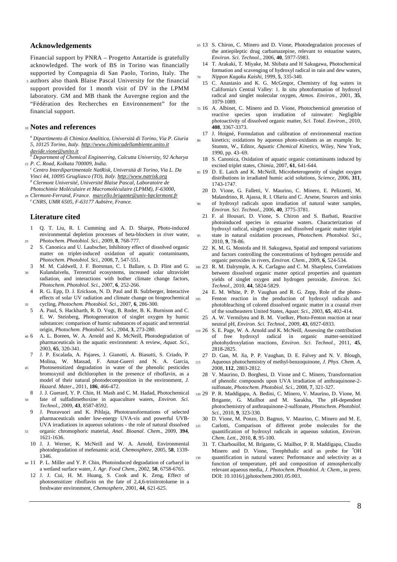### **Acknowledgements**

Financial support by PNRA – Progetto Antartide is gratefully acknowledged. The work of BS in Torino was financially supported by Compagnia di San Paolo, Torino, Italy. The

<sup>5</sup>authors also thank Blaise Pascal University for the financial support provided for 1 month visit of DV in the LPMM laboratory. GM and MB thank the Auvergne region and the "Fédération des Recherches en Environnement" for the financial support.

# <sup>10</sup>**Notes and references**

*a Dipartimento di Chimica Analitica, Università di Torino, Via P. Giuria 5, 10125 Torino, Italy. http://www.chimicadellambiente.unito.it davide.vione@unito.it*

*b Department of Chemical Engineering, Calcutta University, 92 Acharya*  <sup>15</sup>*P. C. Road, Kolkata 700009, India.* 

*c Centro Interdipartimentale NatRisk, Università di Torino, Via L. Da Vinci 44, 10095 Grugliasco (TO), Italy. http://www.natrisk.org d Clermont Université, Université Blaise Pascal, Laboratoire de* 

*Photochimie Moléculaire et Macromoléculaire (LPMM), F-63000,*  <sup>20</sup>*Clermont-Ferrand, France. marcello.brigante@univ-bpclermont.fr <sup>e</sup>CNRS, UMR 6505, F-63177 Aubière, France.* 

# **Literature cited**

- 1 Q. T. Liu, R. I. Cumming and A. D. Sharpe, Photo-induced environmental depletion processes of beta-blockers in river water, <sup>25</sup>*Photochem. Photobiol. Sci.*, 2009, **8**, 768-777.
- 2 S. Canonica and U. Laubscher, Inhibitory effect of dissolved organic matter on triplet-induced oxidation of aquatic contaminants, *Photochem. Photobiol. Sci.*, 2008, **7**, 547-551.
- 3 M. M. Caldwell, J. F. Bornman, C. l. Ballare, s. D. Flint and G. <sup>30</sup>Kulandaivelu, Terrestrial ecosystems, increased solar ultraviolet radiation, and interactions with bother climate change factors, *Photochem. Photobiol. Sci.*, 2007, **6**, 252-266.
- 4 R. G. Epp, D. J. Erickson, N. D. Paul and B. Sulzberger, Interactive effects of solar UV radiation and climate change on biogeochemical <sup>35</sup>cycling, *Photochem. Photobiol. Sci.*, 2007, **6**, 286-300.
- 5 A. Paul, S. Hackbarth, R. D. Vogt, B. Roder, B. K. Burnison and C. E. W. Steinberg, Photogeneration of singlet oxygen by humic substances: comparison of humic substances of aquatic and terrestrial origin, *Photochem. Photobiol. Sci.*, 2004, **3**, 273-280.
- <sup>40</sup>6 A. L. Boreen, W. A. Arnold and K. McNeill, Photodegradation of pharmaceuticals in the aquatic environment: A review, *Aquat. Sci.*, 2003, **65**, 320-341.
- 7 J. P. Escalada, A. Pajares, J. Gianotti, A. Biasutti, S. Criado, P. Molina, W. Massad, F. Amat-Guerri and N. A. Garcia,
- <sup>45</sup>Photosensitized degradation in water of the phenolic pesticides bromoxynil and dichlorophen in the presence of riboflavin, as a model of their natural photodecomposition in the environment, *J. Hazard. Mater.*, 2011, **186**, 466-472.
- 8 J. J. Guerard, Y. P. Chin, H. Mash and C. M. Hadad, Photochemical
- <sup>50</sup>fate of sulfadimethoxine in aquaculture waters, *Environ. Sci. Technol.*, 2009, **43**, 8587-8592.
- 9 J. Peuravuori and K. Pihlaja, Phototransformations of selected pharmaceuticals under low-energy UVA-vis and powerful UVB-UVA irradiations in aqueous solutions - the role of natural dissolved <sup>55</sup>organic chromophoric material, *Anal. Bioanal. Chem.*, 2009, **394**, 1621-1636.
- 10 J. J. Werner, K. McNeill and W. A. Arnold, Environmental photodegradation of mefenamic acid, *Chemosphere*, 2005, **58**, 1339- 1346.
- <sup>60</sup>11 P. L. Miller and Y. P. Chin, Photoinduced degradation of carbaryl in a wetland surface water, *J. Agr. Food Chem.*, 2002, **50**, 6758-6765.
	- 12 J. J. Cui, H. M. Huang, S. Cook and K. Zeng, Effect of photosensitizer riboflavin on the fate of 2,4,6-trinitrotoluene in a freshwater environment, *Chemosphere*, 2001, **44**, 621-625.
- <sup>65</sup>13 S. Chiron, C. Minero and D. Vione, Photodegradation processes of the antiepileptic drug carbamazepine, relevant to estuarine waters, *Environ. Sci. Technol.*, 2006, **40**, 5977-5983.
- 14 T. Arakaki, T. Miyake, M. Shibata and H Sakugawa, Photochemical formation and scavenging of hydroxyl radical in rain and dew waters, <sup>70</sup>*Nippon Kagaku Kaishi*, 1999, **5**, 335-340.
- 15 C. Anastasio and K. G. McGregor, Chemistry of fog waters in California's Central Valley: 1. In situ photoformation of hydroxyl radical and singlet molecular oxygen, *Atmos. Environ.*, 2001, **35**, 1079-1089.
- <sup>75</sup>16 A. Albinet, C. Minero and D. Vione, Photochemical generation of reactive species upon irradiation of rainwater: Negligible photoactivity of dissolved organic matter, *Sci. Total. Environ.*, 2010, **408**, 3367-3373.
- 17 J. Hoigné, Formulation and calibration of environmental reaction kinetics; oxidations by aqueous photo-oxidants as an example. In: Stumm, W., Editor, *Aquatic Chemical Kinetics*, Wiley, New York, 1990, pp. 43–69.
- 18 S. Canonica, Oxidation of aquatic organic contaminants induced by excited triplet states, *Chimia*, 2007, **61**, 641-644.
- <sup>85</sup>19 D. E. Latch and K. McNeill, Microheterogeneity of singlet oxygen distributions in irradiated humic acid solutions, *Science*, 2006, **311**, 1743-1747.
- 20 D. Vione, G. Falletti, V. Maurino, C. Minero, E. Pelizzetti, M. Malandrino, R. Ajassa, R. I. Olariu and C. Arsene, Sources and sinks of hydroxyl radicals upon irradiation of natural water samples,
- *Environ. Sci. Technol.*, 2006, **40**, 3775-3781.
- 21 F. al Housari, D. Vione, S. Chiron and S. Barbati, Reactive photoinduced species in estuarine waters. Characterization of hydroxyl radical, singlet oxygen and dissolved organic matter triplet <sup>95</sup>state in natural oxidation processes, *Photochem. Photobiol. Sci.*, 2010, **9**, 78-86.
- 22 K. M. G. Mostofa and H. Sakugawa, Spatial and temporal variations and factors controlling the concentrations of hydrogen peroxide and organic peroxides in rivers, *Environ. Chem.*, 2009, **6**, 524-534.
- <sup>100</sup>23 R. M. Dalrymple, A. K. Carfagno and C. M. Sharpless, Correlations between dissolved organic matter optical properties and quantum yields of singlet oxygen and hydrogen peroxide, *Environ. Sci. Technol.*, 2010, **44**, 5824-5829.
- 24 E. M. White, P. P. Vaughan and R. G. Zepp, Role of the photo-105 Fenton reaction in the production of hydroxyl radicals and photobleaching of colored dissolved organic matter in a coastal river of the southeastern United States, *Aquat. Sci.*, 2003, **65**, 402-414.
	- 25 A. W. Vermilyea and B. M. Voelker, Photo-Fenton reaction at near neutral pH, *Environ. Sci. Technol.*, 2009, **43**, 6927-6933.
- <sup>110</sup>26 S. E. Page, W. A. Arnold and K. McNeill, Assessing the contribution of free hydroxyl radical in organic matter-sensitized photohydroxylation reactions, *Environ. Sci. Technol.*, 2011, **45**, 2818-2825.
- 27 D. Gan, M. Jia, P. P. Vaughan, D. E. Falvey and N. V. Blough, <sup>115</sup>Aqueous photochemistry of methyl-benzoquinone, *J. Phys. Chem. A*, 2008, **112**, 2803-2812.
	- 28 V. Maurino, D. Borghesi, D. Vione and C. Minero, Transformation of phenolic compounds upon UVA irradiation of anthraquinone-2 sulfonate, *Photochem. Photobiol. Sci.*, 2008, **7**, 321-327.
- <sup>120</sup>29 P. R. Maddigapu, A. Bedini, C. Minero, V. Maurino, D. Vione, M. Brigante, G. Mailhot and M. Sarakha, The pH-dependent photochemistry of anthraquinone-2-sulfonate, *Photochem. Photobiol. Sci.*, 2010, **9**, 323-330.
- 30 D. Vione, M. Ponzo, D. Bagnus, V. Maurino, C. Minero and M. E. 125 Carlotti, Comparison of different probe molecules for the quantification of hydroxyl radicals in aqueous solution, *Environ. Chem. Lett.*, 2010, **8**, 95-100.
- 31 T. Charbouillot, M. Brigante, G. Mailhot, P. R. Maddigapu, Claudio Minero and D. Vione, Terephthalic acid as probe for 'OH 130 quantification in natural waters: Performance and selectivity as a function of temperature, pH and composition of atmospherically relevant aqueous media, *J. Photochem. Photobiol. A: Chem.*, in press. DOI: 10.1016/j.jphotochem.2001.05.003.